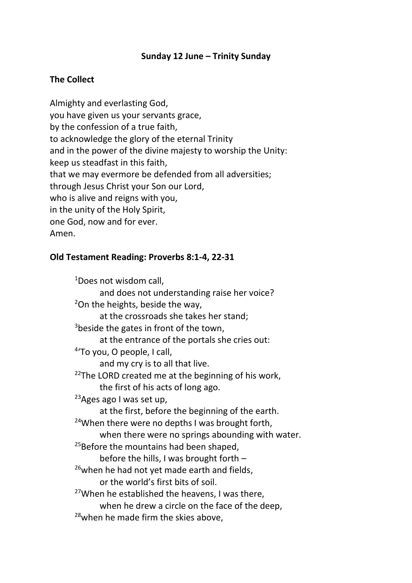### **Sunday 12 June – Trinity Sunday**

# **The Collect**

Almighty and everlasting God, you have given us your servants grace, by the confession of a true faith, to acknowledge the glory of the eternal Trinity and in the power of the divine majesty to worship the Unity: keep us steadfast in this faith, that we may evermore be defended from all adversities; through Jesus Christ your Son our Lord, who is alive and reigns with you, in the unity of the Holy Spirit, one God, now and for ever. Amen.

#### **Old Testament Reading: Proverbs 8:1-4, 22-31**

<sup>1</sup>Does not wisdom call, and does not understanding raise her voice?  $2$ On the heights, beside the way, at the crossroads she takes her stand;  $3$ beside the gates in front of the town, at the entrance of the portals she cries out: <sup>4</sup>'To you, O people, I call, and my cry is to all that live.  $22$ The LORD created me at the beginning of his work, the first of his acts of long ago.  $23$ Ages ago I was set up, at the first, before the beginning of the earth.  $24$ When there were no depths I was brought forth, when there were no springs abounding with water.  $25$ Before the mountains had been shaped, before the hills, I was brought forth –  $26$ when he had not yet made earth and fields, or the world's first bits of soil.  $27$ When he established the heavens, I was there, when he drew a circle on the face of the deep, <sup>28</sup>when he made firm the skies above,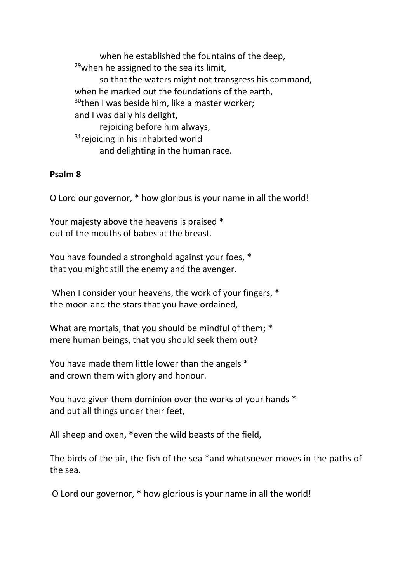when he established the fountains of the deep,  $29$ when he assigned to the sea its limit, so that the waters might not transgress his command, when he marked out the foundations of the earth,  $30$ then I was beside him, like a master worker; and I was daily his delight, rejoicing before him always,  $31$ rejoicing in his inhabited world and delighting in the human race.

#### **Psalm 8**

O Lord our governor, \* how glorious is your name in all the world!

Your majesty above the heavens is praised \* out of the mouths of babes at the breast.

You have founded a stronghold against your foes, \* that you might still the enemy and the avenger.

When I consider your heavens, the work of your fingers, \* the moon and the stars that you have ordained,

What are mortals, that you should be mindful of them; \* mere human beings, that you should seek them out?

You have made them little lower than the angels \* and crown them with glory and honour.

You have given them dominion over the works of your hands \* and put all things under their feet,

All sheep and oxen, \*even the wild beasts of the field,

The birds of the air, the fish of the sea \*and whatsoever moves in the paths of the sea.

O Lord our governor, \* how glorious is your name in all the world!